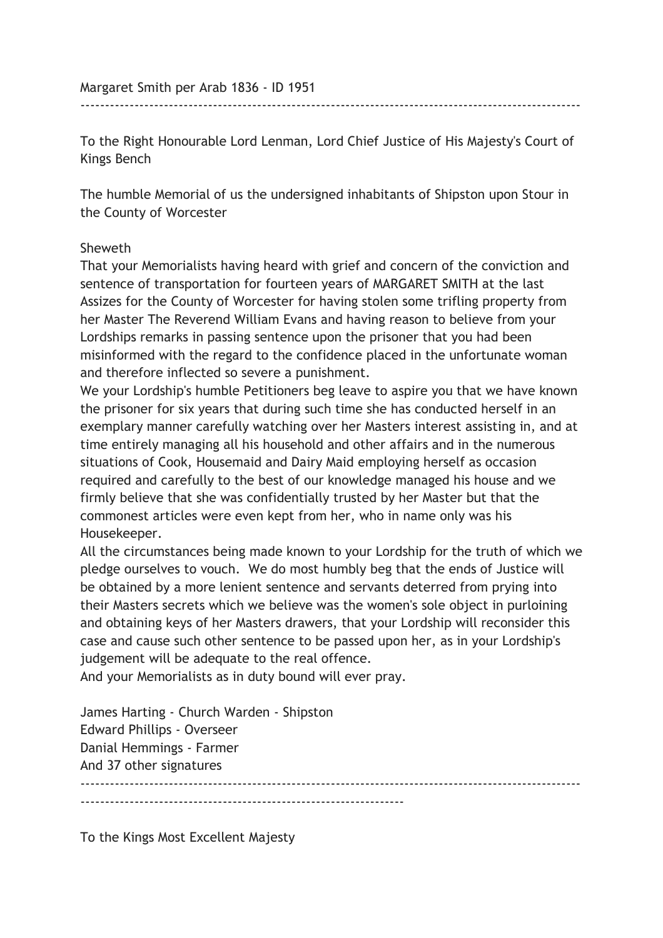To the Right Honourable Lord Lenman, Lord Chief Justice of His Majesty's Court of Kings Bench

------------------------------------------------------------------------------------------------------

The humble Memorial of us the undersigned inhabitants of Shipston upon Stour in the County of Worcester

## Sheweth

That your Memorialists having heard with grief and concern of the conviction and sentence of transportation for fourteen years of MARGARET SMITH at the last Assizes for the County of Worcester for having stolen some trifling property from her Master The Reverend William Evans and having reason to believe from your Lordships remarks in passing sentence upon the prisoner that you had been misinformed with the regard to the confidence placed in the unfortunate woman and therefore inflected so severe a punishment.

We your Lordship's humble Petitioners beg leave to aspire you that we have known the prisoner for six years that during such time she has conducted herself in an exemplary manner carefully watching over her Masters interest assisting in, and at time entirely managing all his household and other affairs and in the numerous situations of Cook, Housemaid and Dairy Maid employing herself as occasion required and carefully to the best of our knowledge managed his house and we firmly believe that she was confidentially trusted by her Master but that the commonest articles were even kept from her, who in name only was his Housekeeper.

All the circumstances being made known to your Lordship for the truth of which we pledge ourselves to vouch. We do most humbly beg that the ends of Justice will be obtained by a more lenient sentence and servants deterred from prying into their Masters secrets which we believe was the women's sole object in purloining and obtaining keys of her Masters drawers, that your Lordship will reconsider this case and cause such other sentence to be passed upon her, as in your Lordship's judgement will be adequate to the real offence.

------------------------------------------------------------------------------------------------------

And your Memorialists as in duty bound will ever pray.

James Harting - Church Warden - Shipston Edward Phillips - Overseer Danial Hemmings - Farmer And 37 other signatures

------------------------------------------------------------------

To the Kings Most Excellent Majesty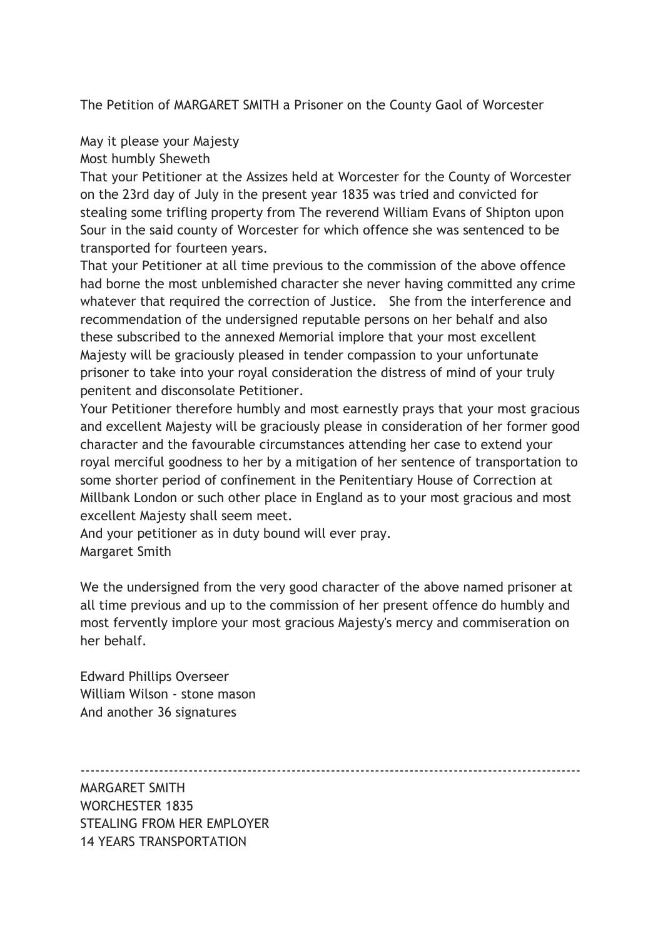The Petition of MARGARET SMITH a Prisoner on the County Gaol of Worcester

May it please your Majesty

Most humbly Sheweth

That your Petitioner at the Assizes held at Worcester for the County of Worcester on the 23rd day of July in the present year 1835 was tried and convicted for stealing some trifling property from The reverend William Evans of Shipton upon Sour in the said county of Worcester for which offence she was sentenced to be transported for fourteen years.

That your Petitioner at all time previous to the commission of the above offence had borne the most unblemished character she never having committed any crime whatever that required the correction of Justice. She from the interference and recommendation of the undersigned reputable persons on her behalf and also these subscribed to the annexed Memorial implore that your most excellent Majesty will be graciously pleased in tender compassion to your unfortunate prisoner to take into your royal consideration the distress of mind of your truly penitent and disconsolate Petitioner.

Your Petitioner therefore humbly and most earnestly prays that your most gracious and excellent Majesty will be graciously please in consideration of her former good character and the favourable circumstances attending her case to extend your royal merciful goodness to her by a mitigation of her sentence of transportation to some shorter period of confinement in the Penitentiary House of Correction at Millbank London or such other place in England as to your most gracious and most excellent Majesty shall seem meet.

And your petitioner as in duty bound will ever pray. Margaret Smith

We the undersigned from the very good character of the above named prisoner at all time previous and up to the commission of her present offence do humbly and most fervently implore your most gracious Majesty's mercy and commiseration on her behalf.

Edward Phillips Overseer William Wilson - stone mason And another 36 signatures

------------------------------------------------------------------------------------------------------

MARGARET SMITH WORCHESTER 1835 STEALING FROM HER EMPLOYER 14 YEARS TRANSPORTATION